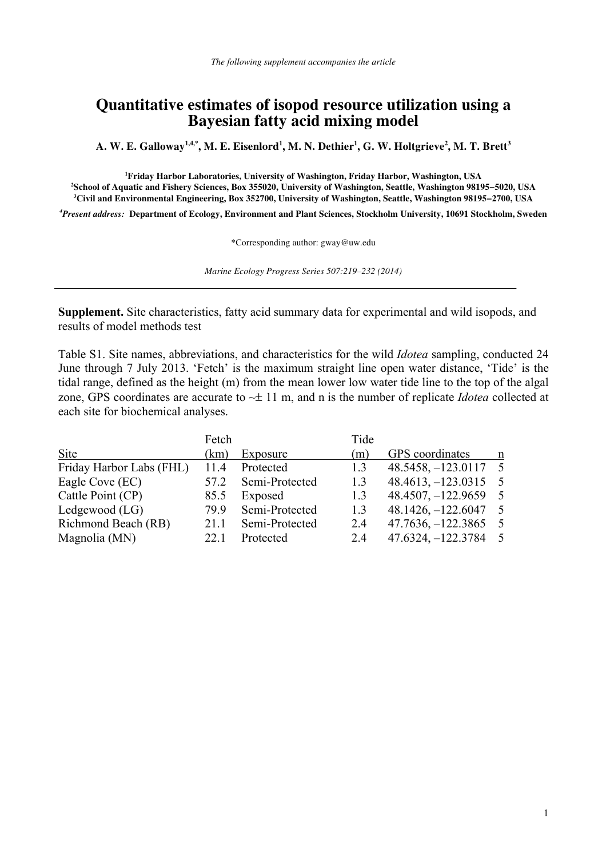## **Quantitative estimates of isopod resource utilization using a Bayesian fatty acid mixing model**

 $\mathbf{A}. \, \mathbf{W}. \, \mathbf{E}. \, \mathbf{G}$ alloway $^{1,4, *}, \, \mathbf{M}. \, \mathbf{E}. \, \mathbf{E}$ isenlord $^{1}, \, \mathbf{M}. \, \mathbf{N}. \, \mathbf{D}$ ethier $^{1}, \, \mathbf{G}. \, \mathbf{W}. \, \mathbf{H}$ oltgrieve $^{2}, \, \mathbf{M}. \, \mathbf{T}. \, \mathbf{B}$ rett $^{3}$ 

<sup>1</sup> **Friday Harbor Laboratories, University of Washington, Friday Harbor, Washington, USA**<br><sup>2</sup> School of Aquatic and Fishery Sciences, Box 355020, University of Washington, Seattle, Washington, 9810 **School of Aquatic and Fishery Sciences, Box 355020, University of Washington, Seattle, Washington 98195−5020, USA 3 Civil and Environmental Engineering, Box 352700, University of Washington, Seattle, Washington 98195−2700, USA** 

*4 Present address:* **Department of Ecology, Environment and Plant Sciences, Stockholm University, 10691 Stockholm, Sweden** 

\*Corresponding author: gway@uw.edu

*Marine Ecology Progress Series 507:219–232 (2014)* 

**Supplement.** Site characteristics, fatty acid summary data for experimental and wild isopods, and results of model methods test

Table S1. Site names, abbreviations, and characteristics for the wild *Idotea* sampling, conducted 24 June through 7 July 2013. 'Fetch' is the maximum straight line open water distance, 'Tide' is the tidal range, defined as the height (m) from the mean lower low water tide line to the top of the algal zone, GPS coordinates are accurate to ~± 11 m, and n is the number of replicate *Idotea* collected at each site for biochemical analyses.

|                          | Fetch |                | Tide |                        |                |
|--------------------------|-------|----------------|------|------------------------|----------------|
| Site                     | (km)  | Exposure       | (m)  | GPS coordinates        | n              |
| Friday Harbor Labs (FHL) | 114   | Protected      | 1.3  | $48.5458, -123.0117$   | - 5            |
| Eagle Cove (EC)          | 57 2  | Semi-Protected | 1.3  | $48.4613, -123.0315$   | $\overline{5}$ |
| Cattle Point (CP)        | 85.5  | Exposed        | 1.3  | $48.4507, -122.9659$ 5 |                |
| Ledgewood $(LG)$         | 799   | Semi-Protected | 13   | $48.1426, -122.6047$ 5 |                |
| Richmond Beach (RB)      | 21 1  | Semi-Protected | 2.4  | $47.7636, -122.3865$   | - 5            |
| Magnolia (MN)            | 22.1  | Protected      | 2.4  | $47.6324, -122.3784$   | $5^{\circ}$    |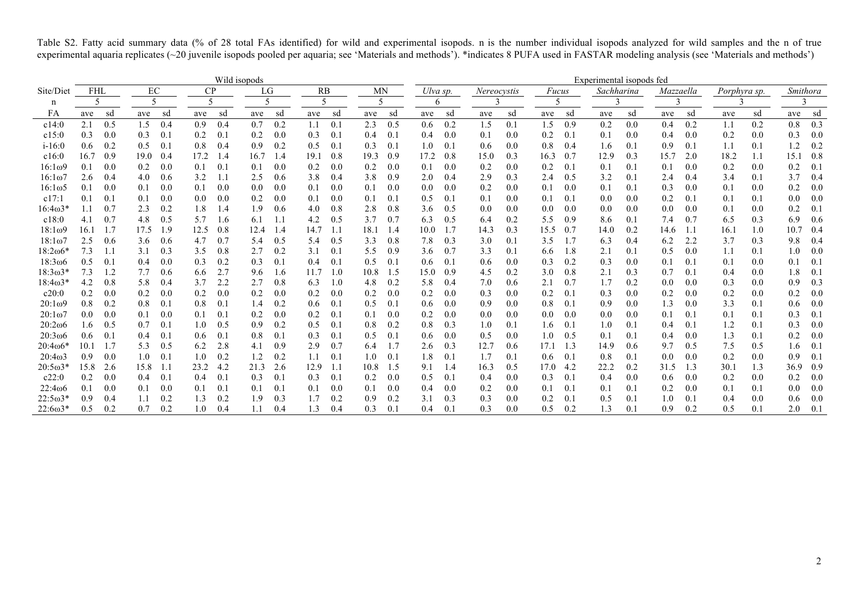Table S2. Fatty acid summary data (% of 28 total FAs identified) for wild and experimental isopods. n is the number individual isopods analyzed for wild samples and the n of true experimental aquaria replicates (~20 juvenile isopods pooled per aquaria; see 'Materials and methods'). \*indicates 8 PUFA used in FASTAR modeling analysis (see 'Materials and methods')

|                 | Wild isopods |     |      |     |      |     |      |     | Experimental isopods fed |     |           |              |          |     |             |         |       |     |            |     |           |     |              |     |          |     |
|-----------------|--------------|-----|------|-----|------|-----|------|-----|--------------------------|-----|-----------|--------------|----------|-----|-------------|---------|-------|-----|------------|-----|-----------|-----|--------------|-----|----------|-----|
| Site/Diet       | FHL          |     | EC   |     | CP   |     | LG   |     | RB                       |     | <b>MN</b> |              | Ulva sp. |     | Nereocystis |         | Fucus |     | Sachharina |     | Mazzaella |     | Porphyra sp. |     | Smithora |     |
| n               | 5            |     | 5    |     |      |     | 5    |     | 5                        |     | 5         |              | 6        |     |             |         |       |     |            |     |           |     |              |     |          |     |
| FA              | ave          | sd  | ave  | sd  | ave  | sd  | ave  | sd  | ave                      | sd  | ave       | sd           | ave      | sd  | ave         | sd      | ave   | sd  | ave        | sd  | ave       | sd  | ave          | sd  | ave      | sd  |
| c14:0           | 2.1          | 0.5 | 1.5  | 0.4 | 0.9  | 0.4 | 0.7  | 0.2 | 1.1                      | 0.1 | 2.3       | 0.5          | 0.6      | 0.2 | 1.5         | 0.1     | 1.5   | 0.9 | 0.2        | 0.0 | 0.4       | 0.2 | 1.1          | 0.2 | 0.8      | 0.3 |
| c15:0           | 0.3          | 0.0 | 0.3  | 0.1 | 0.2  | 0.1 | 0.2  | 0.0 | 0.3                      | 0.1 | 0.4       | 0.1          | 0.4      | 0.0 | 0.1         | 0.0     | 0.2   | 0.1 | 0.1        | 0.0 | 0.4       | 0.0 | 0.2          | 0.0 | 0.3      | 0.0 |
| $i - 16:0$      | 0.6          | 0.2 | 0.5  | 0.1 | 0.8  | 0.4 | 0.9  | 0.2 | 0.5                      | 0.1 | 0.3       | 0.1          | 1.0      | 0.1 | 0.6         | 0.0     | 0.8   | 0.4 | 1.6        | 0.1 | 0.9       | 0.1 | 1.1          | 0.1 | 1.2      | 0.2 |
| c16:0           | 16.7         | 0.9 | 19.0 | 0.4 | 17.2 | 1.4 | 16.7 | 1.4 | 19.1                     | 0.8 | 19.3      | 0.9          | 17.2     | 0.8 | 15.0        | 0.3     | 16.3  | 0.7 | 12.9       | 0.3 | 15.       | 2.0 | 18.2         | 1.1 | 15.      | 0.8 |
| $16:1\omega$ 9  | 0.1          | 0.0 | 0.2  | 0.0 | 0.1  | 0.1 | 0.1  | 0.0 | 0.2                      | 0.0 | 0.2       | 0.0          | 0.1      | 0.0 | 0.2         | 0.0     | 0.2   | 0.1 | 0.1        | 0.1 | 0.1       | 0.0 | 0.2          | 0.0 | 0.2      | 0.1 |
| $16:1\omega$    | 2.6          | 0.4 | 4.0  | 0.6 | 3.2  | 1.1 | 2.5  | 0.6 | 3.8                      | 0.4 | 3.8       | 0.9          | 2.0      | 0.4 | 2.9         | 0.3     | 2.4   | 0.5 | 3.2        | 0.1 | 2.4       | 0.4 | 3.4          | 0.1 | 3.7      | 0.4 |
| $16:1\omega$ 5  | 0.1          | 0.0 | 0.1  | 0.0 | 0.1  | 0.0 | 0.0  | 0.0 | 0.1                      | 0.0 | 0.1       | 0.0          | 0.0      | 0.0 | 0.2         | 0.0     | 0.1   | 0.0 | 0.1        | 0.1 | 0.3       | 0.0 | 0.1          | 0.0 | 0.2      | 0.0 |
| c17:1           | 0.1          | 0.1 | 0.1  | 0.0 | 0.0  | 0.0 | 0.2  | 0.0 | 0.1                      | 0.0 | 0.1       | 0.1          | 0.5      | 0.1 | 0.1         | 0.0     | 0.1   | 0.1 | 0.0        | 0.0 | 0.2       | 0.1 | 0.1          | 0.1 | 0.0      | 0.0 |
| $16:4\omega3*$  |              | 0.7 | 2.3  | 0.2 | 1.8  | 1.4 | 1.9  | 0.6 | 4.0                      | 0.8 | 2.8       | 0.8          | 3.6      | 0.5 | 0.0         | 0.0     | 0.0   | 0.0 | 0.0        | 0.0 | 0.0       | 0.0 | 0.1          | 0.0 | 0.2      | 0.1 |
| c18:0           | 4.1          | 0.7 | 4.8  | 0.5 | 5.7  | 1.6 | 6.1  | 1.1 | 4.2                      | 0.5 | 3.7       | 0.7          | 6.3      | 0.5 | 6.4         | 0.2     | 5.5   | 0.9 | 8.6        | 0.1 | 7.4       | 0.7 | 6.5          | 0.3 | 6.9      | 0.6 |
| $18:1\omega$ 9  | 16.          | 1.7 | 17.5 | .9  | 12.5 | 0.8 | 12.4 | 1.4 | 14.7                     | 1.1 | 18.1      | 1.4          | 10.0     | 1.7 | 14.3        | 0.3     | 15.5  | 0.7 | 14.0       | 0.2 | 14.6      | 1.1 | 16.1         | 1.0 | 10.      | 0.4 |
| $18:1\omega$ 7  | 2.5          | 0.6 | 3.6  | 0.6 | 4.7  | 0.7 | 5.4  | 0.5 | 5.4                      | 0.5 | 3.3       | 0.8          | 7.8      | 0.3 | 3.0         | $0.1\,$ | 3.5   | 1.7 | 6.3        | 0.4 | 6.2       | 2.2 | 3.7          | 0.3 | 9.8      | 0.4 |
| $18:2\omega 6*$ | 7.3          | 1.1 | 3.1  | 0.3 | 3.5  | 0.8 | 2.7  | 0.2 | 3.1                      | 0.1 | 5.5       | 0.9          | 3.6      | 0.7 | 3.3         | 0.1     | 6.6   | 1.8 | 2.1        | 0.1 | 0.5       | 0.0 | 1.1          | 0.1 | 1.0      | 0.0 |
| 18:3006         | 0.5          | 0.1 | 0.4  | 0.0 | 0.3  | 0.2 | 0.3  | 0.1 | 0.4                      | 0.1 | 0.5       | 0.1          | 0.6      | 0.1 | 0.6         | 0.0     | 0.3   | 0.2 | 0.3        | 0.0 | 0.1       | 0.1 | 0.1          | 0.0 | 0.1      | 0.1 |
| $18:3\omega3*$  | 7.3          | 1.2 | 7.7  | 0.6 | 6.6  | 2.7 | 9.6  | 1.6 | 11.7                     | 1.0 | 10.8      | 1.5          | 15.0     | 0.9 | 4.5         | 0.2     | 3.0   | 0.8 | 2.1        | 0.3 | 0.7       | 0.1 | 0.4          | 0.0 | 1.8      | 0.1 |
| $18:4ω3*$       | 4.2          | 0.8 | 5.8  | 0.4 | 3.7  | 2.2 | 2.7  | 0.8 | 6.3                      | 1.0 | 4.8       | 0.2          | 5.8      | 0.4 | 7.0         | 0.6     | 2.1   | 0.7 | 1.7        | 0.2 | 0.0       | 0.0 | 0.3          | 0.0 | 0.9      | 0.3 |
| c20:0           | 0.2          | 0.0 | 0.2  | 0.0 | 0.2  | 0.0 | 0.2  | 0.0 | 0.2                      | 0.0 | 0.2       | $_{\rm 0.0}$ | 0.2      | 0.0 | 0.3         | 0.0     | 0.2   | 0.1 | 0.3        | 0.0 | 0.2       | 0.0 | 0.2          | 0.0 | 0.2      | 0.0 |
| $20:1\omega$ 9  | 0.8          | 0.2 | 0.8  | 0.1 | 0.8  | 0.1 | 1.4  | 0.2 | 0.6                      | 0.1 | 0.5       | 0.1          | 0.6      | 0.0 | 0.9         | 0.0     | 0.8   | 0.1 | 0.9        | 0.0 | 1.3       | 0.0 | 3.3          | 0.1 | 0.6      | 0.0 |
| $20:1\omega$    | 0.0          | 0.0 | 0.1  | 0.0 | 0.1  | 0.1 | 0.2  | 0.0 | 0.2                      | 0.1 | 0.1       | 0.0          | 0.2      | 0.0 | 0.0         | 0.0     | 0.0   | 0.0 | 0.0        | 0.0 | 0.1       | 0.1 | 0.1          | 0.1 | 0.3      | 0.1 |
| $20:2\omega$    | 1.6          | 0.5 | 0.7  | 0.1 | 1.0  | 0.5 | 0.9  | 0.2 | 0.5                      | 0.1 | 0.8       | 0.2          | 0.8      | 0.3 | 1.0         | 0.1     | 1.6   | 0.1 | 1.0        | 0.1 | 0.4       | 0.1 | 1.2          | 0.1 | 0.3      | 0.0 |
| 20:3006         | 0.6          | 0.1 | 0.4  | 0.1 | 0.6  | 0.1 | 0.8  | 0.1 | 0.3                      | 0.1 | 0.5       | 0.1          | 0.6      | 0.0 | 0.5         | 0.0     | 1.0   | 0.5 | 0.1        | 0.1 | 0.4       | 0.0 | 1.3          | 0.1 | 0.2      | 0.0 |
| $20:4\omega$ 6* | 10.1         | 1.7 | 5.3  | 0.5 | 6.2  | 2.8 | 4.1  | 0.9 | 2.9                      | 0.7 | 6.4       | 1.7          | 2.6      | 0.3 | 12.7        | 0.6     | 17.1  | 1.3 | 14.9       | 0.6 | 9.7       | 0.5 | 7.5          | 0.5 | 1.6      | 0.1 |
| 20:403          | 0.9          | 0.0 | 1.0  | 0.1 | 1.0  | 0.2 | 1.2  | 0.2 | 1.1                      | 0.1 | 1.0       | 0.1          | 1.8      | 0.1 | 1.7         | 0.1     | 0.6   | 0.1 | 0.8        | 0.1 | 0.0       | 0.0 | 0.2          | 0.0 | 0.9      | 0.1 |
| $20:5\omega3*$  | 15.8         | 2.6 | 15.8 |     | 23.2 | 4.2 | 21.3 | 2.6 | 12.9                     | 1.1 | 10.8      | 1.5          | 9.1      | 1.4 | 16.3        | 0.5     | 17.0  | 4.2 | 22.2       | 0.2 | 31.5      | 1.3 | 30.1         | 1.3 | 36.9     | 0.9 |
| c22:0           | 0.2          | 0.0 | 0.4  | 0.1 | 0.4  | 0.1 | 0.3  | 0.1 | 0.3                      | 0.1 | 0.2       | 0.0          | 0.5      | 0.1 | 0.4         | 0.0     | 0.3   | 0.1 | 0.4        | 0.0 | 0.6       | 0.0 | 0.2          | 0.0 | 0.2      | 0.0 |
| $22:4\omega$    | 0.1          | 0.0 | 0.1  | 0.0 | 0.1  | 0.1 | 0.1  | 0.1 | 0.1                      | 0.0 | 0.1       | 0.0          | 0.4      | 0.0 | 0.2         | 0.0     | 0.1   | 0.1 | 0.1        | 0.1 | 0.2       | 0.0 | 0.1          | 0.1 | 0.0      | 0.0 |
| $22:5\omega3*$  | 0.9          | 0.4 |      | 0.2 | 1.3  | 0.2 | 1.9  | 0.3 | 1.7                      | 0.2 | 0.9       | $_{0.2}$     | 3.1      | 0.3 | 0.3         | 0.0     | 0.2   | 0.1 | 0.5        | 0.1 |           | 0.1 | 0.4          | 0.0 | 0.6      | 0.0 |
| $22:6\omega3*$  | 0.5          | 0.2 | 0.7  | 0.2 | 1.0  | 0.4 |      | 0.4 | 1.3                      | 0.4 | 0.3       | 0.1          | 0.4      | 0.1 | 0.3         | $0.0\,$ | 0.5   | 0.2 | 1.3        | 0.1 | 0.9       | 0.2 | 0.5          | 0.1 | 2.0      | 0.1 |